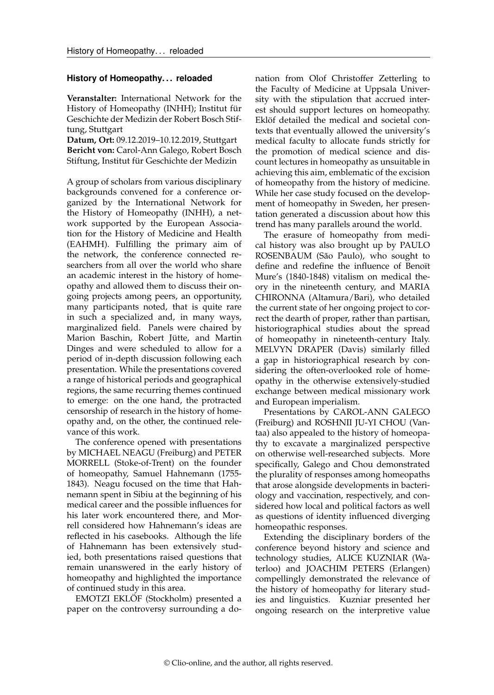## **History of Homeopathy. . . reloaded**

**Veranstalter:** International Network for the History of Homeopathy (INHH); Institut für Geschichte der Medizin der Robert Bosch Stiftung, Stuttgart

**Datum, Ort:** 09.12.2019–10.12.2019, Stuttgart **Bericht von:** Carol-Ann Galego, Robert Bosch Stiftung, Institut für Geschichte der Medizin

A group of scholars from various disciplinary backgrounds convened for a conference organized by the International Network for the History of Homeopathy (INHH), a network supported by the European Association for the History of Medicine and Health (EAHMH). Fulfilling the primary aim of the network, the conference connected researchers from all over the world who share an academic interest in the history of homeopathy and allowed them to discuss their ongoing projects among peers, an opportunity, many participants noted, that is quite rare in such a specialized and, in many ways, marginalized field. Panels were chaired by Marion Baschin, Robert Jütte, and Martin Dinges and were scheduled to allow for a period of in-depth discussion following each presentation. While the presentations covered a range of historical periods and geographical regions, the same recurring themes continued to emerge: on the one hand, the protracted censorship of research in the history of homeopathy and, on the other, the continued relevance of this work.

The conference opened with presentations by MICHAEL NEAGU (Freiburg) and PETER MORRELL (Stoke-of-Trent) on the founder of homeopathy, Samuel Hahnemann (1755- 1843). Neagu focused on the time that Hahnemann spent in Sibiu at the beginning of his medical career and the possible influences for his later work encountered there, and Morrell considered how Hahnemann's ideas are reflected in his casebooks. Although the life of Hahnemann has been extensively studied, both presentations raised questions that remain unanswered in the early history of homeopathy and highlighted the importance of continued study in this area.

EMOTZI EKLÖF (Stockholm) presented a paper on the controversy surrounding a donation from Olof Christoffer Zetterling to the Faculty of Medicine at Uppsala University with the stipulation that accrued interest should support lectures on homeopathy. Eklöf detailed the medical and societal contexts that eventually allowed the university's medical faculty to allocate funds strictly for the promotion of medical science and discount lectures in homeopathy as unsuitable in achieving this aim, emblematic of the excision of homeopathy from the history of medicine. While her case study focused on the development of homeopathy in Sweden, her presentation generated a discussion about how this trend has many parallels around the world.

The erasure of homeopathy from medical history was also brought up by PAULO ROSENBAUM (São Paulo), who sought to define and redefine the influence of Benoït Mure's (1840-1848) vitalism on medical theory in the nineteenth century, and MARIA CHIRONNA (Altamura/Bari), who detailed the current state of her ongoing project to correct the dearth of proper, rather than partisan, historiographical studies about the spread of homeopathy in nineteenth-century Italy. MELVYN DRAPER (Davis) similarly filled a gap in historiographical research by considering the often-overlooked role of homeopathy in the otherwise extensively-studied exchange between medical missionary work and European imperialism.

Presentations by CAROL-ANN GALEGO (Freiburg) and ROSHNII JU-YI CHOU (Vantaa) also appealed to the history of homeopathy to excavate a marginalized perspective on otherwise well-researched subjects. More specifically, Galego and Chou demonstrated the plurality of responses among homeopaths that arose alongside developments in bacteriology and vaccination, respectively, and considered how local and political factors as well as questions of identity influenced diverging homeopathic responses.

Extending the disciplinary borders of the conference beyond history and science and technology studies, ALICE KUZNIAR (Waterloo) and JOACHIM PETERS (Erlangen) compellingly demonstrated the relevance of the history of homeopathy for literary studies and linguistics. Kuzniar presented her ongoing research on the interpretive value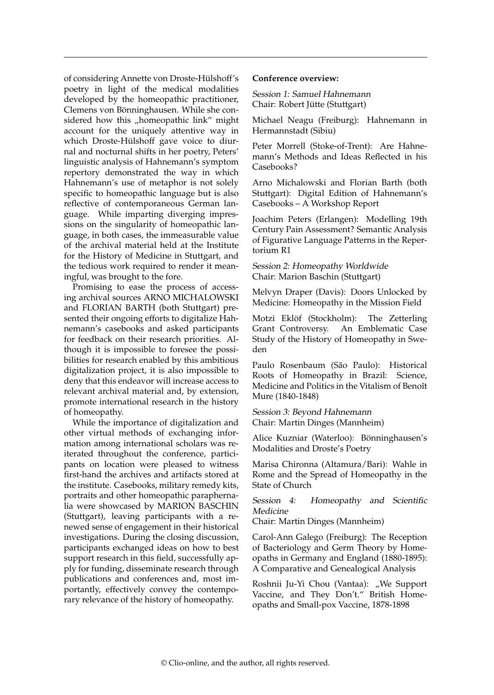of considering Annette von Droste-Hülshoff's poetry in light of the medical modalities developed by the homeopathic practitioner, Clemens von Bönninghausen. While she considered how this "homeopathic link" might account for the uniquely attentive way in which Droste-Hülshoff gave voice to diurnal and nocturnal shifts in her poetry, Peters' linguistic analysis of Hahnemann's symptom repertory demonstrated the way in which Hahnemann's use of metaphor is not solely specific to homeopathic language but is also reflective of contemporaneous German language. While imparting diverging impressions on the singularity of homeopathic language, in both cases, the immeasurable value of the archival material held at the Institute for the History of Medicine in Stuttgart, and the tedious work required to render it meaningful, was brought to the fore.

Promising to ease the process of accessing archival sources ARNO MICHALOWSKI and FLORIAN BARTH (both Stuttgart) presented their ongoing efforts to digitalize Hahnemann's casebooks and asked participants for feedback on their research priorities. Although it is impossible to foresee the possibilities for research enabled by this ambitious digitalization project, it is also impossible to deny that this endeavor will increase access to relevant archival material and, by extension, promote international research in the history of homeopathy.

While the importance of digitalization and other virtual methods of exchanging information among international scholars was reiterated throughout the conference, participants on location were pleased to witness first-hand the archives and artifacts stored at the institute. Casebooks, military remedy kits, portraits and other homeopathic paraphernalia were showcased by MARION BASCHIN (Stuttgart), leaving participants with a renewed sense of engagement in their historical investigations. During the closing discussion, participants exchanged ideas on how to best support research in this field, successfully apply for funding, disseminate research through publications and conferences and, most importantly, effectively convey the contemporary relevance of the history of homeopathy.

## **Conference overview:**

Session 1: Samuel Hahnemann Chair: Robert Jütte (Stuttgart)

Michael Neagu (Freiburg): Hahnemann in Hermannstadt (Sibiu)

Peter Morrell (Stoke-of-Trent): Are Hahnemann's Methods and Ideas Reflected in his Casebooks?

Arno Michalowski and Florian Barth (both Stuttgart): Digital Edition of Hahnemann's Casebooks – A Workshop Report

Joachim Peters (Erlangen): Modelling 19th Century Pain Assessment? Semantic Analysis of Figurative Language Patterns in the Repertorium R1

Session 2: Homeopathy Worldwide Chair: Marion Baschin (Stuttgart)

Melvyn Draper (Davis): Doors Unlocked by Medicine: Homeopathy in the Mission Field

Motzi Eklöf (Stockholm): The Zetterling Grant Controversy. An Emblematic Case Study of the History of Homeopathy in Sweden

Paulo Rosenbaum (São Paulo): Historical Roots of Homeopathy in Brazil: Science, Medicine and Politics in the Vitalism of Benoît Mure (1840-1848)

Session 3: Beyond Hahnemann Chair: Martin Dinges (Mannheim)

Alice Kuzniar (Waterloo): Bönninghausen's Modalities and Droste's Poetry

Marisa Chironna (Altamura/Bari): Wahle in Rome and the Spread of Homeopathy in the State of Church

Session 4: Homeopathy and Scientific Medicine

Chair: Martin Dinges (Mannheim)

Carol-Ann Galego (Freiburg): The Reception of Bacteriology and Germ Theory by Homeopaths in Germany and England (1880-1895): A Comparative and Genealogical Analysis

Roshnii Ju-Yi Chou (Vantaa): "We Support Vaccine, and They Don't." British Homeopaths and Small-pox Vaccine, 1878-1898